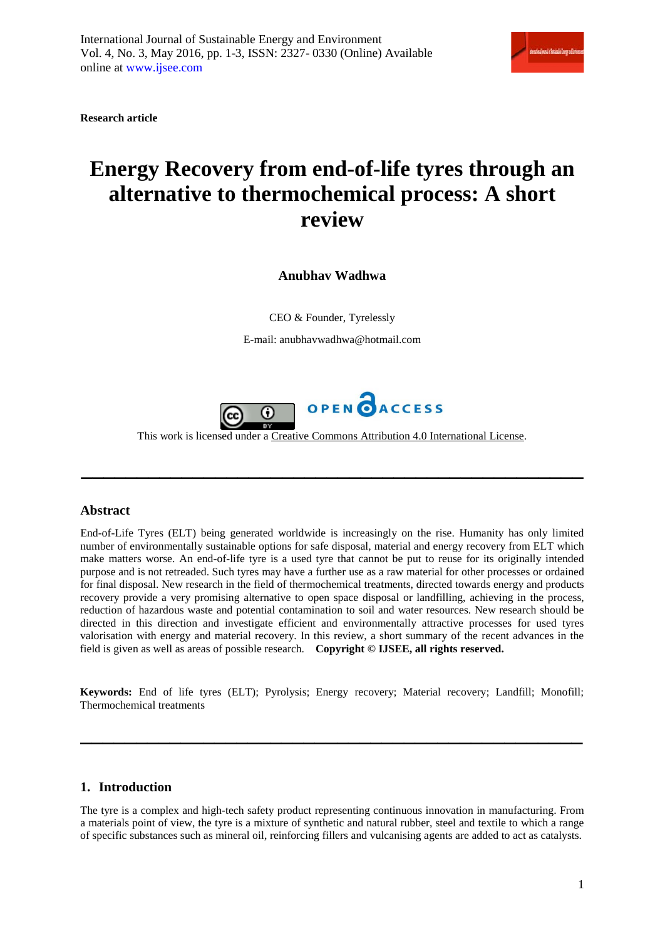| Isterational Jurnal of Batabable Deery and Entremos |  |  |  |  |
|-----------------------------------------------------|--|--|--|--|
|-----------------------------------------------------|--|--|--|--|

**Research article**

# **Energy Recovery from end-of-life tyres through an alternative to thermochemical process: A short review**

**Anubhav Wadhwa**

CEO & Founder, Tyrelessly

E-mail: anubhavwadhwa@hotmail.com



This work is licensed under a Creative Commons Attribution 4.0 [International](http://creativecommons.org/licenses/by/4.0/) License.

**\_\_\_\_\_\_\_\_\_\_\_\_\_\_\_\_\_\_\_\_\_\_\_\_\_\_\_\_\_\_\_\_\_\_\_\_\_\_\_\_\_\_\_\_\_**

### **Abstract**

End-of-Life Tyres (ELT) being generated worldwide is increasingly on the rise. Humanity has only limited number of environmentally sustainable options for safe disposal, material and energy recovery from ELT which make matters worse. An end-of-life tyre is a used tyre that cannot be put to reuse for its originally intended purpose and is not retreaded. Such tyres may have a further use as a raw material for other processes or ordained for final disposal. New research in the field of thermochemical treatments, directed towards energy and products recovery provide a very promising alternative to open space disposal or landfilling, achieving in the process, reduction of hazardous waste and potential contamination to soil and water resources. New research should be directed in this direction and investigate efficient and environmentally attractive processes for used tyres valorisation with energy and material recovery. In this review, a short summary of the recent advances in the field is given as well as areas of possible research. **Copyright © IJSEE, all rights reserved.** 

**Keywords:** End of life tyres (ELT); Pyrolysis; Energy recovery; Material recovery; Landfill; Monofill; Thermochemical treatments

**\_\_\_\_\_\_\_\_\_\_\_\_\_\_\_\_\_\_\_\_\_\_\_\_\_\_\_\_\_\_\_\_\_\_\_\_\_\_\_\_\_\_\_\_\_**

### **1. Introduction**

The tyre is a complex and high-tech safety product representing continuous innovation in manufacturing. From a materials point of view, the tyre is a mixture of synthetic and natural rubber, steel and textile to which a range of specific substances such as mineral oil, reinforcing fillers and vulcanising agents are added to act as catalysts.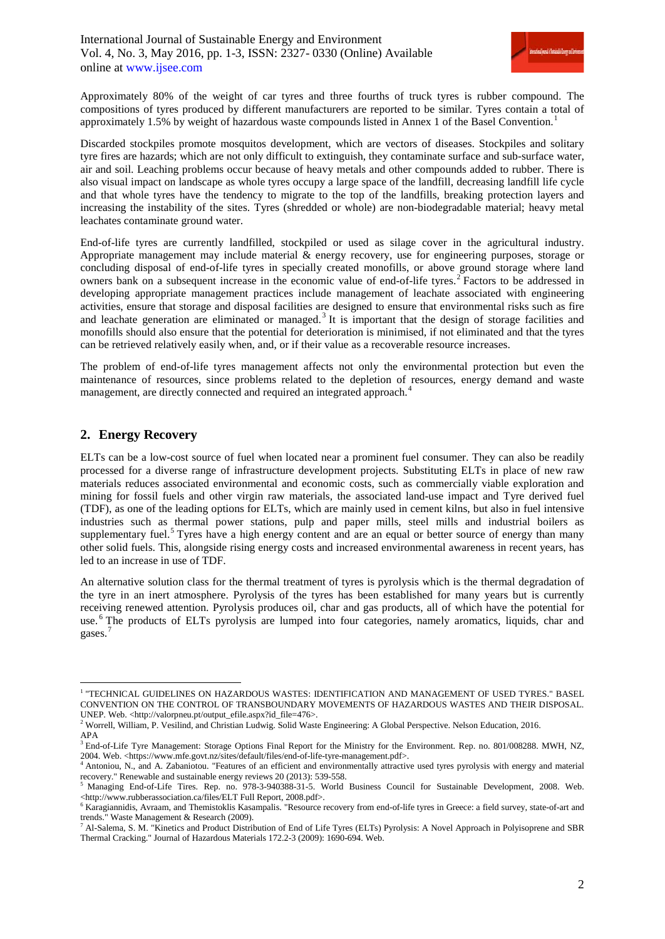

Approximately 80% of the weight of car tyres and three fourths of truck tyres is rubber compound. The compositions of tyres produced by different manufacturers are reported to be similar. Tyres contain a total of approximately [1](#page-1-0).5% by weight of hazardous waste compounds listed in Annex 1 of the Basel Convention.<sup>1</sup>

Discarded stockpiles promote mosquitos development, which are vectors of diseases. Stockpiles and solitary tyre fires are hazards; which are not only difficult to extinguish, they contaminate surface and sub-surface water, air and soil. Leaching problems occur because of heavy metals and other compounds added to rubber. There is also visual impact on landscape as whole tyres occupy a large space of the landfill, decreasing landfill life cycle and that whole tyres have the tendency to migrate to the top of the landfills, breaking protection layers and increasing the instability of the sites. Tyres (shredded or whole) are non-biodegradable material; heavy metal leachates contaminate ground water.

End-of-life tyres are currently landfilled, stockpiled or used as silage cover in the agricultural industry. Appropriate management may include material & energy recovery, use for engineering purposes, storage or concluding disposal of end-of-life tyres in specially created monofills, or above ground storage where land owners bank on a subsequent increase in the economic value of end-of-life tyres.<sup>[2](#page-1-1)</sup> Factors to be addressed in developing appropriate management practices include management of leachate associated with engineering activities, ensure that storage and disposal facilities are designed to ensure that environmental risks such as fire and leachate generation are eliminated or managed.<sup>[3](#page-1-2)</sup> It is important that the design of storage facilities and monofills should also ensure that the potential for deterioration is minimised, if not eliminated and that the tyres can be retrieved relatively easily when, and, or if their value as a recoverable resource increases.

The problem of end-of-life tyres management affects not only the environmental protection but even the maintenance of resources, since problems related to the depletion of resources, energy demand and waste management, are directly connected and required an integrated approach.<sup>[4](#page-1-3)</sup>

# **2. Energy Recovery**

ELTs can be a low-cost source of fuel when located near a prominent fuel consumer. They can also be readily processed for a diverse range of infrastructure development projects. Substituting ELTs in place of new raw materials reduces associated environmental and economic costs, such as commercially viable exploration and mining for fossil fuels and other virgin raw materials, the associated land-use impact and Tyre derived fuel (TDF), as one of the leading options for ELTs, which are mainly used in cement kilns, but also in fuel intensive industries such as thermal power stations, pulp and paper mills, steel mills and industrial boilers as supplementary fuel.<sup>[5](#page-1-4)</sup> Tyres have a high energy content and are an equal or better source of energy than many other solid fuels. This, alongside rising energy costs and increased environmental awareness in recent years, has led to an increase in use of TDF.

An alternative solution class for the thermal treatment of tyres is pyrolysis which is the thermal degradation of the tyre in an inert atmosphere. Pyrolysis of the tyres has been established for many years but is currently receiving renewed attention. Pyrolysis produces oil, char and gas products, all of which have the potential for use. [6](#page-1-5) The products of ELTs pyrolysis are lumped into four categories, namely aromatics, liquids, char and gases.<sup>[7](#page-1-6)</sup>

<span id="page-1-0"></span> $^{\rm 1}$  "TECHNICAL GUIDELINES ON HAZARDOUS WASTES: IDENTIFICATION AND MANAGEMENT OF USED TYRES." BASEL CONVENTION ON THE CONTROL OF TRANSBOUNDARY MOVEMENTS OF HAZARDOUS WASTES AND THEIR DISPOSAL.

<span id="page-1-1"></span>UNEP. Web. <http://valorpneu.pt/output\_efile.aspx?id\_file=476>.<br><sup>2</sup> Worrell, William, P. Vesilind, and Christian Ludwig. Solid Waste Engineering: A Global Perspective. Nelson Education, 2016. APA

<span id="page-1-2"></span><sup>&</sup>lt;sup>3</sup> End-of-Life Tyre Management: Storage Options Final Report for the Ministry for the Environment. Rep. no. 801/008288. MWH, NZ, 2004. Web. <https://www.mfe.govt.nz/sites/default/files/end-of-life-tyre-management.pdf>.

<span id="page-1-3"></span><sup>4</sup> Antoniou, N., and A. Zabaniotou. "Features of an efficient and environmentally attractive used tyres pyrolysis with energy and material recovery." Renewable and sustainable energy reviews 20 (2013): 539-558.

<span id="page-1-4"></span><sup>&</sup>lt;sup>5</sup> Managing End-of-Life Tires. Rep. no. 978-3-940388-31-5. World Business Council for Sustainable Development, 2008. Web. <http://www.rubberassociation.ca/files/ELT Full Report, 2008.pdf>.

<span id="page-1-5"></span><sup>&</sup>lt;sup>6</sup> Karagiannidis, Avraam, and Themistoklis Kasampalis. "Resource recovery from end-of-life tyres in Greece: a field survey, state-of-art and trends." Waste Management & Research (2009).

<span id="page-1-6"></span><sup>7</sup> Al-Salema, S. M. "Kinetics and Product Distribution of End of Life Tyres (ELTs) Pyrolysis: A Novel Approach in Polyisoprene and SBR Thermal Cracking." Journal of Hazardous Materials 172.2-3 (2009): 1690-694. Web.